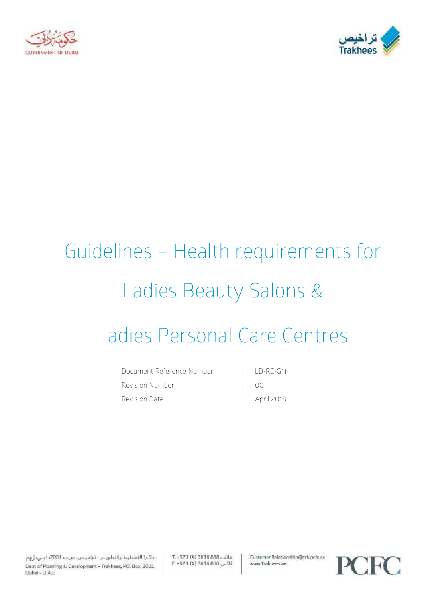



# Guidelines – Health requirements for Ladies Beauty Salons & Ladies Personal Care Centres

| Document Reference Number | $\cdot$ ID-RC-G11       |
|---------------------------|-------------------------|
| Revision Number           | $\cdot$ ()()            |
| Revision Date             | $\therefore$ April 2018 |

دائرة التخطيط والتطويــر - تراخيمن، من ب 2001، دبـي، إعِم Dept of Planning & Development - Trakhees, PO. Box, 2001 Dubai - U.A.L.

T. - 971 (4) 3636 888. Lila E. -971 (4) 3636 860 Customer.Relationship@trk.pcfc.ae www.Trakhees.ae

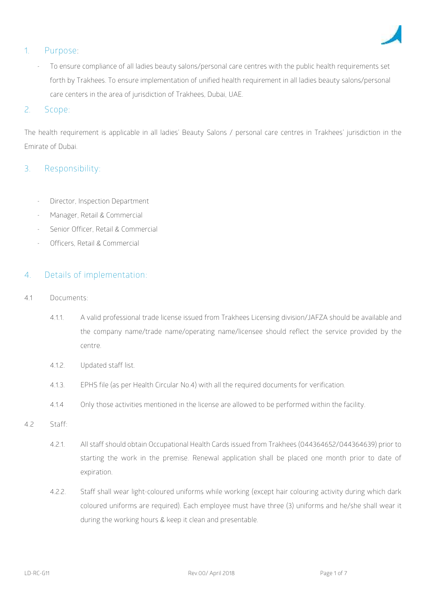

## **1. Purpose:**

To ensure compliance of all ladies beauty salons/personal care centres with the public health requirements set forth by Trakhees. To ensure implementation of unified health requirement in all ladies beauty salons/personal care centers in the area of jurisdiction of Trakhees, Dubai, UAE.

#### 2. **Scope**:

The health requirement is applicable in all ladies' Beauty Salons / personal care centres in Trakhees' jurisdiction in the Emirate of Dubai.

### **3. Responsibility:**

- Director, Inspection Department
- Manager, Retail & Commercial
- Senior Officer, Retail & Commercial
- Officers, Retail & Commercial

### **4. Details of implementation**:

- 4.1 **Documents:**
	- 4.1.1. A valid professional trade license issued from Trakhees Licensing division/JAFZA should be available and the company name/trade name/operating name/licensee should reflect the service provided by the centre.
	- 4.1.2. Updated staff list.
	- 4.1.3. EPHS file (as per Health Circular No.4) with all the required documents for verification.
	- 4.1.4 Only those activities mentioned in the license are allowed to be performed within the facility.
- **4.2 Staff:**
	- 4.2.1. All staff should obtain Occupational Health Cards issued from Trakhees (044364652/044364639) prior to starting the work in the premise. Renewal application shall be placed one month prior to date of expiration.
	- 4.2.2. Staff shall wear light-coloured uniforms while working (except hair colouring activity during which dark coloured uniforms are required). Each employee must have three (3) uniforms and he/she shall wear it during the working hours & keep it clean and presentable.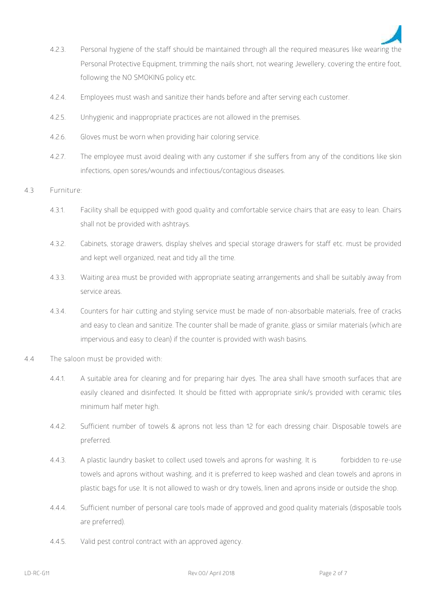

- 4.2.3. Personal hygiene of the staff should be maintained through all the required measures like wearing the Personal Protective Equipment, trimming the nails short, not wearing Jewellery, covering the entire foot, following the NO SMOKING policy etc.
- 4.2.4. Employees must wash and sanitize their hands before and after serving each customer.
- 4.2.5. Unhygienic and inappropriate practices are not allowed in the premises.
- 4.2.6. Gloves must be worn when providing hair coloring service.
- 4.2.7. The employee must avoid dealing with any customer if she suffers from any of the conditions like skin infections, open sores/wounds and infectious/contagious diseases.

#### **4.3 Furniture:**

- 4.3.1. Facility shall be equipped with good quality and comfortable service chairs that are easy to lean. Chairs shall not be provided with ashtrays.
- 4.3.2. Cabinets, storage drawers, display shelves and special storage drawers for staff etc. must be provided and kept well organized, neat and tidy all the time.
- 4.3.3. Waiting area must be provided with appropriate seating arrangements and shall be suitably away from service areas.
- 4.3.4. Counters for hair cutting and styling service must be made of non-absorbable materials, free of cracks and easy to clean and sanitize. The counter shall be made of granite, glass or similar materials (which are impervious and easy to clean) if the counter is provided with wash basins.
- **4.4 The saloon must be provided with:**
	- 4.4.1. A suitable area for cleaning and for preparing hair dyes. The area shall have smooth surfaces that are easily cleaned and disinfected. It should be fitted with appropriate sink/s provided with ceramic tiles minimum half meter high.
	- 4.4.2. Sufficient number of towels & aprons not less than 12 for each dressing chair. Disposable towels are preferred.
	- 4.4.3. A plastic laundry basket to collect used towels and aprons for washing. It is forbidden to re-use towels and aprons without washing, and it is preferred to keep washed and clean towels and aprons in plastic bags for use. It is not allowed to wash or dry towels, linen and aprons inside or outside the shop.
	- 4.4.4. Sufficient number of personal care tools made of approved and good quality materials (disposable tools are preferred).
	- 4.4.5. Valid pest control contract with an approved agency.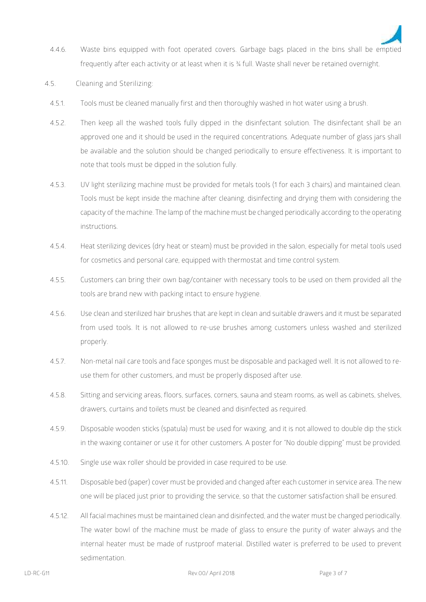- 4.4.6. Waste bins equipped with foot operated covers. Garbage bags placed in the bins shall be emptied frequently after each activity or at least when it is ¾ full. Waste shall never be retained overnight.
- **4.5. Cleaning and Sterilizing:**
	- 4.5.1. Tools must be cleaned manually first and then thoroughly washed in hot water using a brush.
	- 4.5.2. Then keep all the washed tools fully dipped in the disinfectant solution. The disinfectant shall be an approved one and it should be used in the required concentrations. Adequate number of glass jars shall be available and the solution should be changed periodically to ensure effectiveness. It is important to note that tools must be dipped in the solution fully.
	- 4.5.3. UV light sterilizing machine must be provided for metals tools (1 for each 3 chairs) and maintained clean. Tools must be kept inside the machine after cleaning, disinfecting and drying them with considering the capacity of the machine. The lamp of the machine must be changed periodically according to the operating instructions.
	- 4.5.4. Heat sterilizing devices (dry heat or steam) must be provided in the salon, especially for metal tools used for cosmetics and personal care, equipped with thermostat and time control system.
	- 4.5.5. Customers can bring their own bag/container with necessary tools to be used on them provided all the tools are brand new with packing intact to ensure hygiene.
	- 4.5.6. Use clean and sterilized hair brushes that are kept in clean and suitable drawers and it must be separated from used tools. It is not allowed to re-use brushes among customers unless washed and sterilized properly.
	- 4.5.7. Non-metal nail care tools and face sponges must be disposable and packaged well. It is not allowed to re use them for other customers, and must be properly disposed after use.
	- 4.5.8. Sitting and servicing areas, floors, surfaces, corners, sauna and steam rooms, as well as cabinets, shelves, drawers, curtains and toilets must be cleaned and disinfected as required.
	- 4.5.9. Disposable wooden sticks (spatula) must be used for waxing, and it is not allowed to double dip the stick in the waxing container or use it for other customers. A poster for "No double dipping" must be provided.
	- 4.5.10. Single use wax roller should be provided in case required to be use.
	- 4.5.11. Disposable bed (paper) cover must be provided and changed after each customer in service area. The new one will be placed just prior to providing the service, so that the customer satisfaction shall be ensured.
	- 4.5.12. All facial machines must be maintained clean and disinfected, and the water must be changed periodically. The water bowl of the machine must be made of glass to ensure the purity of water always and the internal heater must be made of rustproof material. Distilled water is preferred to be used to prevent sedimentation.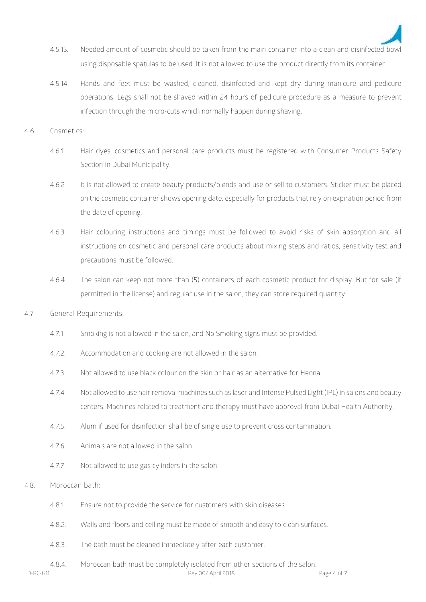

- 4.5.13. Needed amount of cosmetic should be taken from the main container into a clean and disinfected bowl using disposable spatulas to be used. It is not allowed to use the product directly from its container.
- 4.5.14. Hands and feet must be washed, cleaned, disinfected and kept dry during manicure and pedicure operations. Legs shall not be shaved within 24 hours of pedicure procedure as a measure to prevent infection through the micro-cuts which normally happen during shaving.
- **4.6. Cosmetics:**
	- 4.6.1. Hair dyes, cosmetics and personal care products must be registered with Consumer Products Safety Section in Dubai Municipality.
	- 4.6.2. It is not allowed to create beauty products/blends and use or sell to customers. Sticker must be placed on the cosmetic container shows opening date, especially for products that rely on expiration period from the date of opening.
	- 4.6.3. Hair colouring instructions and timings must be followed to avoid risks of skin absorption and all instructions on cosmetic and personal care products about mixing steps and ratios, sensitivity test and precautions must be followed.
	- 4.6.4. The salon can keep not more than (5) containers of each cosmetic product for display. But for sale (if permitted in the license) and regular use in the salon, they can store required quantity.
- **4.7 General Requirements:**
	- 4.7.1 Smoking is not allowed in the salon, and No Smoking signs must be provided.
	- 4.7.2. Accommodation and cooking are not allowed in the salon.
	- 4.7.3 Not allowed to use black colour on the skin or hair as an alternative for Henna.
	- 4.7.4 Not allowed to use hair removal machines such as laser and Intense Pulsed Light (IPL) in salons and beauty centers. Machines related to treatment and therapy must have approval from Dubai Health Authority.
	- 4.7.5. Alum if used for disinfection shall be of single use to prevent cross contamination.
	- 4.7.6 Animals are not allowed in the salon.
	- 4.7.7 Not allowed to use gas cylinders in the salon.
- 4.8. **Moroccan bath**:
	- 4.8.1. Ensure not to provide the service for customers with skin diseases.
	- 4.8.2. Walls and floors and ceiling must be made of smooth and easy to clean surfaces.
	- 4.8.3. The bath must be cleaned immediately after each customer.
	- 4.8.4. Moroccan bath must be completely isolated from other sections of the salon.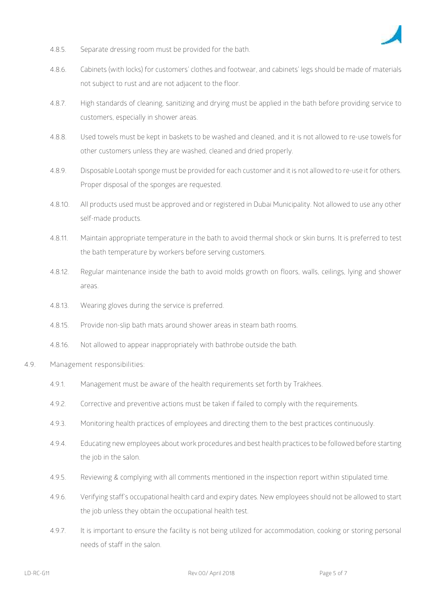

- 4.8.5. Separate dressing room must be provided for the bath.
- 4.8.6. Cabinets (with locks) for customers' clothes and footwear, and cabinets' legs should be made of materials not subject to rust and are not adjacent to the floor.
- 4.8.7. High standards of cleaning, sanitizing and drying must be applied in the bath before providing service to customers, especially in shower areas.
- 4.8.8. Used towels must be kept in baskets to be washed and cleaned, and it is not allowed to re-use towels for other customers unless they are washed, cleaned and dried properly.
- 4.8.9. Disposable Lootah sponge must be provided for each customer and it is not allowed to re-use it for others. Proper disposal of the sponges are requested.
- 4.8.10. All products used must be approved and or registered in Dubai Municipality. Not allowed to use any other self-made products.
- 4.8.11. Maintain appropriate temperature in the bath to avoid thermal shock or skin burns. It is preferred to test the bath temperature by workers before serving customers.
- 4.8.12. Regular maintenance inside the bath to avoid molds growth on floors, walls, ceilings, lying and shower areas.
- 4.8.13. Wearing gloves during the service is preferred.
- 4.8.15. Provide non-slip bath mats around shower areas in steam bath rooms.
- 4.8.16. Not allowed to appear inappropriately with bathrobe outside the bath.
- **4.9. Management responsibilities:**
	- 4.9.1. Management must be aware of the health requirements set forth by Trakhees.
	- 4.9.2. Corrective and preventive actions must be taken if failed to comply with the requirements.
	- 4.9.3. Monitoring health practices of employees and directing them to the best practices continuously.
	- 4.9.4. Educating new employees about work procedures and best health practices to be followed before starting the job in the salon.
	- 4.9.5. Reviewing & complying with all comments mentioned in the inspection report within stipulated time.
	- 4.9.6. Verifying staff's occupational health card and expiry dates. New employees should not be allowed to start the job unless they obtain the occupational health test.
	- 4.9.7. It is important to ensure the facility is not being utilized for accommodation, cooking or storing personal needs of staff in the salon.